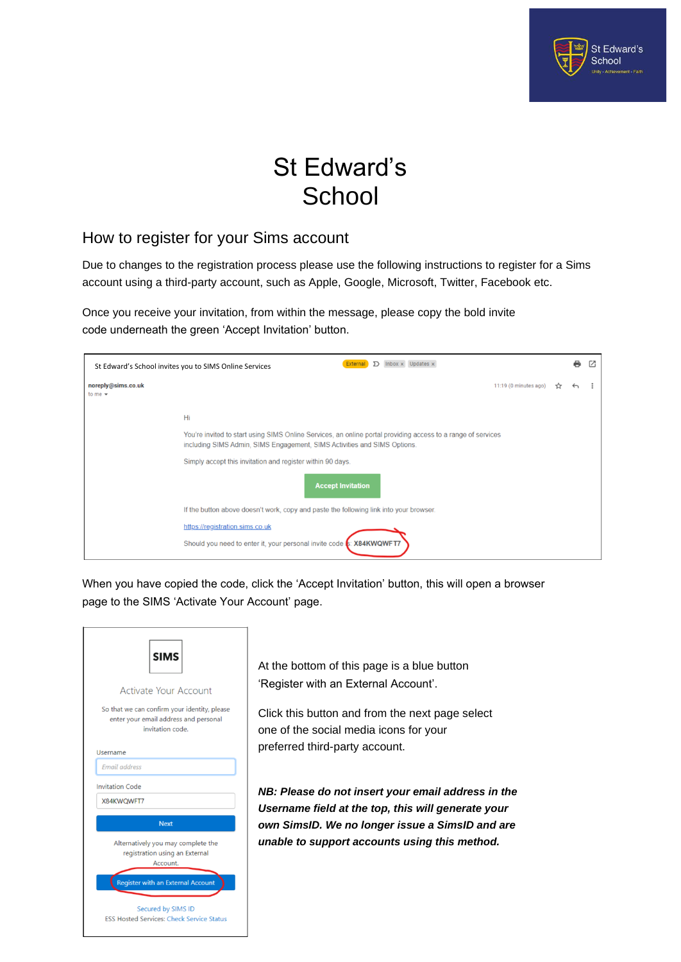

## St Edward's **School**

## How to register for your Sims account

Due to changes to the registration process please use the following instructions to register for a Sims account using a third-party account, such as Apple, Google, Microsoft, Twitter, Facebook etc.

Once you receive your invitation, from within the message, please copy the bold invite code underneath the green 'Accept Invitation' button.

|                                                            | <b>External</b> $\sum$ Inbox x Updates x<br>St Edward's School invites you to SIMS Online Services                                                                                       |  |  |  |  |
|------------------------------------------------------------|------------------------------------------------------------------------------------------------------------------------------------------------------------------------------------------|--|--|--|--|
| noreply@sims.co.uk<br>to me $\blacktriangleright$          | $11:19$ (0 minutes ago)                                                                                                                                                                  |  |  |  |  |
|                                                            | Hi                                                                                                                                                                                       |  |  |  |  |
|                                                            | You're invited to start using SIMS Online Services, an online portal providing access to a range of services<br>including SIMS Admin, SIMS Engagement, SIMS Activities and SIMS Options. |  |  |  |  |
| Simply accept this invitation and register within 90 days. |                                                                                                                                                                                          |  |  |  |  |
|                                                            | <b>Accept Invitation</b>                                                                                                                                                                 |  |  |  |  |
|                                                            | If the button above doesn't work, copy and paste the following link into your browser.                                                                                                   |  |  |  |  |
|                                                            | https://registration.sims.co.uk                                                                                                                                                          |  |  |  |  |
|                                                            | Should you need to enter it, your personal invite code <b>5: X84KWQWFT7</b>                                                                                                              |  |  |  |  |

When you have copied the code, click the 'Accept Invitation' button, this will open a browser page to the SIMS 'Activate Your Account' page.



At the bottom of this page is a blue button 'Register with an External Account'.

Click this button and from the next page select one of the social media icons for your preferred third-party account.

*NB: Please do not insert your email address in the Username field at the top, this will generate your own SimsID. We no longer issue a SimsID and are unable to support accounts using this method.*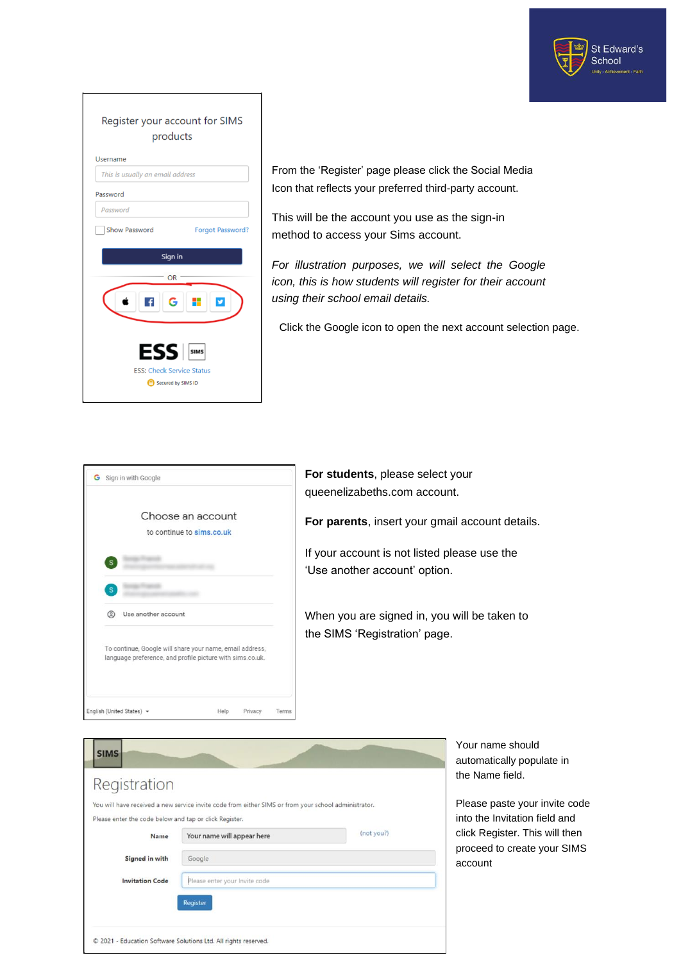

|          | Register your account for SIMS<br>products             |
|----------|--------------------------------------------------------|
| Username |                                                        |
|          | This is usually an email address                       |
| Password |                                                        |
| Password |                                                        |
|          | <b>Show Password</b><br>Forgot Password?               |
|          |                                                        |
|          | Sign in                                                |
|          | <b>OR</b>                                              |
|          | G                                                      |
|          | <b>ESS</b>                                             |
|          | <b>ESS: Check Service Status</b><br>Secured by SIMS ID |

From the 'Register' page please click the Social Media Icon that reflects your preferred third-party account.

This will be the account you use as the sign-in method to access your Sims account.

*For illustration purposes, we will select the Google icon, this is how students will register for their account using their school email details.*

Click the Google icon to open the next account selection page.

|   |                     | Choose an account                                                                                                     |  |  |
|---|---------------------|-----------------------------------------------------------------------------------------------------------------------|--|--|
|   |                     | to continue to sims.co.uk                                                                                             |  |  |
|   |                     |                                                                                                                       |  |  |
| s |                     |                                                                                                                       |  |  |
| ౷ | Use another account |                                                                                                                       |  |  |
|   |                     | To continue, Google will share your name, email address,<br>language preference, and profile picture with sims.co.uk. |  |  |

**For students**, please select your queenelizabeths.com account.

**For parents**, insert your gmail account details.

If your account is not listed please use the 'Use another account' option.

When you are signed in, you will be taken to the SIMS 'Registration' page.

| Registration                                           |                                                                                                      |            |
|--------------------------------------------------------|------------------------------------------------------------------------------------------------------|------------|
|                                                        | You will have received a new service invite code from either SIMS or from your school administrator. |            |
| Please enter the code below and tap or click Register. |                                                                                                      |            |
| Name                                                   | Your name will appear here                                                                           | (not you?) |
| Signed in with                                         | Google                                                                                               |            |
| <b>Invitation Code</b>                                 | Please enter your Invite code                                                                        |            |
|                                                        | Register                                                                                             |            |
|                                                        |                                                                                                      |            |

Your name should automatically populate in the Name field.

Please paste your invite code into the Invitation field and click Register. This will then proceed to create your SIMS account